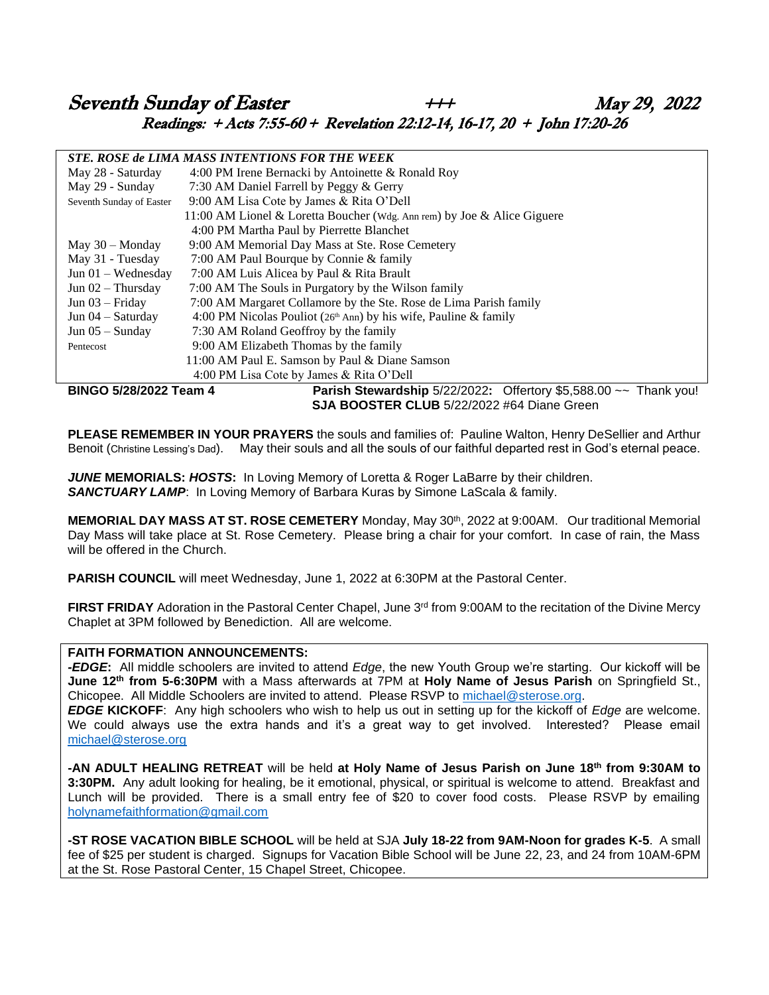# Seventh Sunday of Easter  $\begin{array}{ccc} & & & \n\text{++} & \text{May 29, 2022} \\ \n\end{array}$ Readings: + Acts 7:55-60 + Revelation 22:12-14, 16-17, 20 + John 17:20-26

#### *STE. ROSE de LIMA MASS INTENTIONS FOR THE WEEK*

|                                                   | 0112. INZON 46 IZUNG MGUO INTIZIVITIZINI FVINTING MBIZIN                |  |  |  |  |  |  |  |  |  |  |
|---------------------------------------------------|-------------------------------------------------------------------------|--|--|--|--|--|--|--|--|--|--|
| May 28 - Saturday                                 | 4:00 PM Irene Bernacki by Antoinette & Ronald Roy                       |  |  |  |  |  |  |  |  |  |  |
| May 29 - Sunday                                   | 7:30 AM Daniel Farrell by Peggy & Gerry                                 |  |  |  |  |  |  |  |  |  |  |
| Seventh Sunday of Easter                          | 9:00 AM Lisa Cote by James & Rita O'Dell                                |  |  |  |  |  |  |  |  |  |  |
|                                                   | 11:00 AM Lionel & Loretta Boucher (Wdg. Ann rem) by Joe & Alice Giguere |  |  |  |  |  |  |  |  |  |  |
|                                                   | 4:00 PM Martha Paul by Pierrette Blanchet                               |  |  |  |  |  |  |  |  |  |  |
| May $30 -$ Monday                                 | 9:00 AM Memorial Day Mass at Ste. Rose Cemetery                         |  |  |  |  |  |  |  |  |  |  |
| May 31 - Tuesday                                  | 7:00 AM Paul Bourque by Connie & family                                 |  |  |  |  |  |  |  |  |  |  |
| Jun $01 -$ Wednesday                              | 7:00 AM Luis Alicea by Paul & Rita Brault                               |  |  |  |  |  |  |  |  |  |  |
| Jun $02$ – Thursday                               | 7:00 AM The Souls in Purgatory by the Wilson family                     |  |  |  |  |  |  |  |  |  |  |
| Jun $03$ – Friday                                 | 7:00 AM Margaret Collamore by the Ste. Rose de Lima Parish family       |  |  |  |  |  |  |  |  |  |  |
| Jun $04 -$ Saturday                               | 4:00 PM Nicolas Pouliot ( $26th$ Ann) by his wife, Pauline & family     |  |  |  |  |  |  |  |  |  |  |
| Jun $05 -$ Sunday                                 | 7:30 AM Roland Geoffroy by the family                                   |  |  |  |  |  |  |  |  |  |  |
| Pentecost                                         | 9:00 AM Elizabeth Thomas by the family                                  |  |  |  |  |  |  |  |  |  |  |
|                                                   | 11:00 AM Paul E. Samson by Paul & Diane Samson                          |  |  |  |  |  |  |  |  |  |  |
|                                                   | 4:00 PM Lisa Cote by James & Rita O'Dell                                |  |  |  |  |  |  |  |  |  |  |
| BINGO 5/28/2022 Team 4                            | Parish Stewardship $5/22/2022$ : Offertory \$5,588.00 $\sim$ Thank you! |  |  |  |  |  |  |  |  |  |  |
| <b>SJA BOOSTER CLUB 5/22/2022 #64 Diane Green</b> |                                                                         |  |  |  |  |  |  |  |  |  |  |

**PLEASE REMEMBER IN YOUR PRAYERS** the souls and families of: Pauline Walton, Henry DeSellier and Arthur Benoit (Christine Lessing's Dad). May their souls and all the souls of our faithful departed rest in God's eternal peace.

*JUNE* **MEMORIALS:** *HOSTS***:** In Loving Memory of Loretta & Roger LaBarre by their children. *SANCTUARY LAMP*: In Loving Memory of Barbara Kuras by Simone LaScala & family.

**MEMORIAL DAY MASS AT ST. ROSE CEMETERY** Monday, May 30th, 2022 at 9:00AM. Our traditional Memorial Day Mass will take place at St. Rose Cemetery. Please bring a chair for your comfort. In case of rain, the Mass will be offered in the Church.

**PARISH COUNCIL** will meet Wednesday, June 1, 2022 at 6:30PM at the Pastoral Center.

**FIRST FRIDAY** Adoration in the Pastoral Center Chapel, June 3<sup>rd</sup> from 9:00AM to the recitation of the Divine Mercy Chaplet at 3PM followed by Benediction. All are welcome.

#### **FAITH FORMATION ANNOUNCEMENTS:**

*-EDGE***:** All middle schoolers are invited to attend *Edge*, the new Youth Group we're starting. Our kickoff will be **June 12th from 5-6:30PM** with a Mass afterwards at 7PM at **Holy Name of Jesus Parish** on Springfield St., Chicopee. All Middle Schoolers are invited to attend. Please RSVP to [michael@sterose.org.](mailto:michael@sterose.org)

*EDGE* **KICKOFF**: Any high schoolers who wish to help us out in setting up for the kickoff of *Edge* are welcome. We could always use the extra hands and it's a great way to get involved. Interested? Please email [michael@sterose.org](mailto:michael@sterose.org)

**-AN ADULT HEALING RETREAT** will be held **at Holy Name of Jesus Parish on June 18th from 9:30AM to 3:30PM.** Any adult looking for healing, be it emotional, physical, or spiritual is welcome to attend. Breakfast and Lunch will be provided. There is a small entry fee of \$20 to cover food costs. Please RSVP by emailing [holynamefaithformation@gmail.com](mailto:holynamefaithformation@gmail.com)

**-ST ROSE VACATION BIBLE SCHOOL** will be held at SJA **July 18-22 from 9AM-Noon for grades K-5**. A small fee of \$25 per student is charged. Signups for Vacation Bible School will be June 22, 23, and 24 from 10AM-6PM at the St. Rose Pastoral Center, 15 Chapel Street, Chicopee.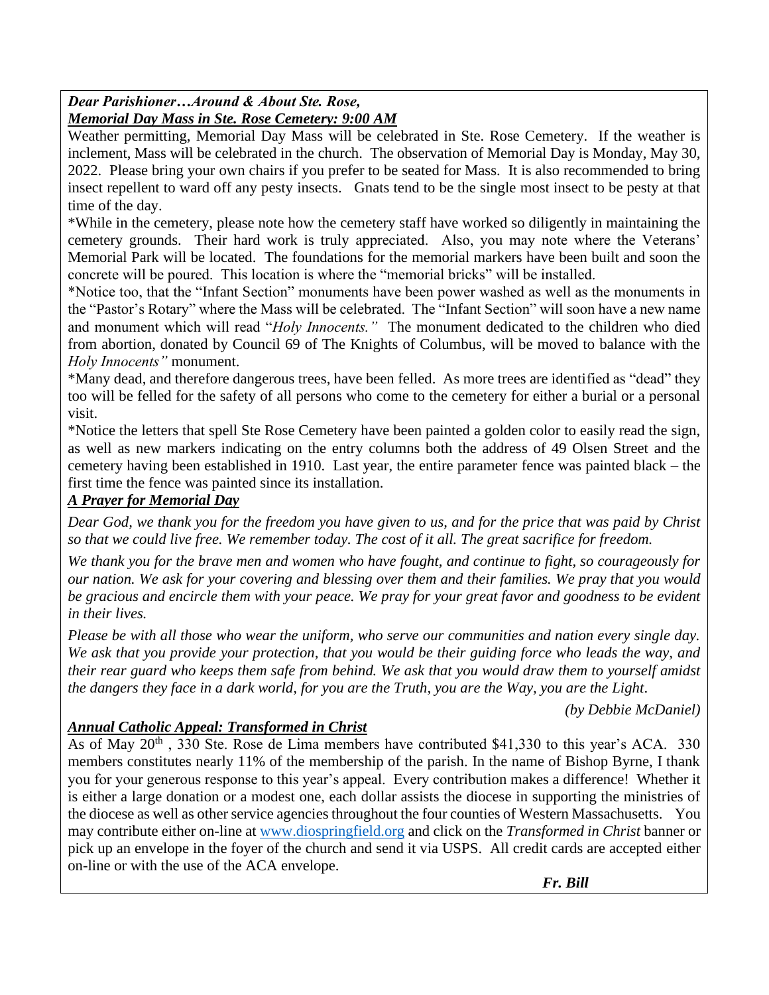### *Dear Parishioner…Around & About Ste. Rose, Memorial Day Mass in Ste. Rose Cemetery: 9:00 AM*

Weather permitting, Memorial Day Mass will be celebrated in Ste. Rose Cemetery. If the weather is inclement, Mass will be celebrated in the church. The observation of Memorial Day is Monday, May 30, 2022. Please bring your own chairs if you prefer to be seated for Mass. It is also recommended to bring insect repellent to ward off any pesty insects. Gnats tend to be the single most insect to be pesty at that time of the day.

\*While in the cemetery, please note how the cemetery staff have worked so diligently in maintaining the cemetery grounds. Their hard work is truly appreciated. Also, you may note where the Veterans' Memorial Park will be located. The foundations for the memorial markers have been built and soon the concrete will be poured. This location is where the "memorial bricks" will be installed.

\*Notice too, that the "Infant Section" monuments have been power washed as well as the monuments in the "Pastor's Rotary" where the Mass will be celebrated. The "Infant Section" will soon have a new name and monument which will read "*Holy Innocents."* The monument dedicated to the children who died from abortion, donated by Council 69 of The Knights of Columbus, will be moved to balance with the *Holy Innocents"* monument.

\*Many dead, and therefore dangerous trees, have been felled. As more trees are identified as "dead" they too will be felled for the safety of all persons who come to the cemetery for either a burial or a personal visit.

\*Notice the letters that spell Ste Rose Cemetery have been painted a golden color to easily read the sign, as well as new markers indicating on the entry columns both the address of 49 Olsen Street and the cemetery having been established in 1910. Last year, the entire parameter fence was painted black – the first time the fence was painted since its installation.

# *A Prayer for Memorial Day*

*Dear God, we thank you for the freedom you have given to us, and for the price that was paid by Christ so that we could live free. We remember today. The cost of it all. The great sacrifice for freedom.*

*We thank you for the brave men and women who have fought, and continue to fight, so courageously for our nation. We ask for your covering and blessing over them and their families. We pray that you would be gracious and encircle them with your peace. We pray for your great favor and goodness to be evident in their lives.*

*Please be with all those who wear the uniform, who serve our communities and nation every single day. We ask that you provide your protection, that you would be their guiding force who leads the way, and their rear guard who keeps them safe from behind. We ask that you would draw them to yourself amidst the dangers they face in a dark world, for you are the Truth, you are the Way, you are the Light*.

*(by Debbie McDaniel)*

# *Annual Catholic Appeal: Transformed in Christ*

As of May  $20^{th}$ , 330 Ste. Rose de Lima members have contributed \$41,330 to this year's ACA. 330 members constitutes nearly 11% of the membership of the parish. In the name of Bishop Byrne, I thank you for your generous response to this year's appeal. Every contribution makes a difference! Whether it is either a large donation or a modest one, each dollar assists the diocese in supporting the ministries of the diocese as well as other service agencies throughout the four counties of Western Massachusetts. You may contribute either on-line at [www.diospringfield.org](http://www.diospringfield.org/) and click on the *Transformed in Christ* banner or pick up an envelope in the foyer of the church and send it via USPS. All credit cards are accepted either on-line or with the use of the ACA envelope.

 *Fr. Bill*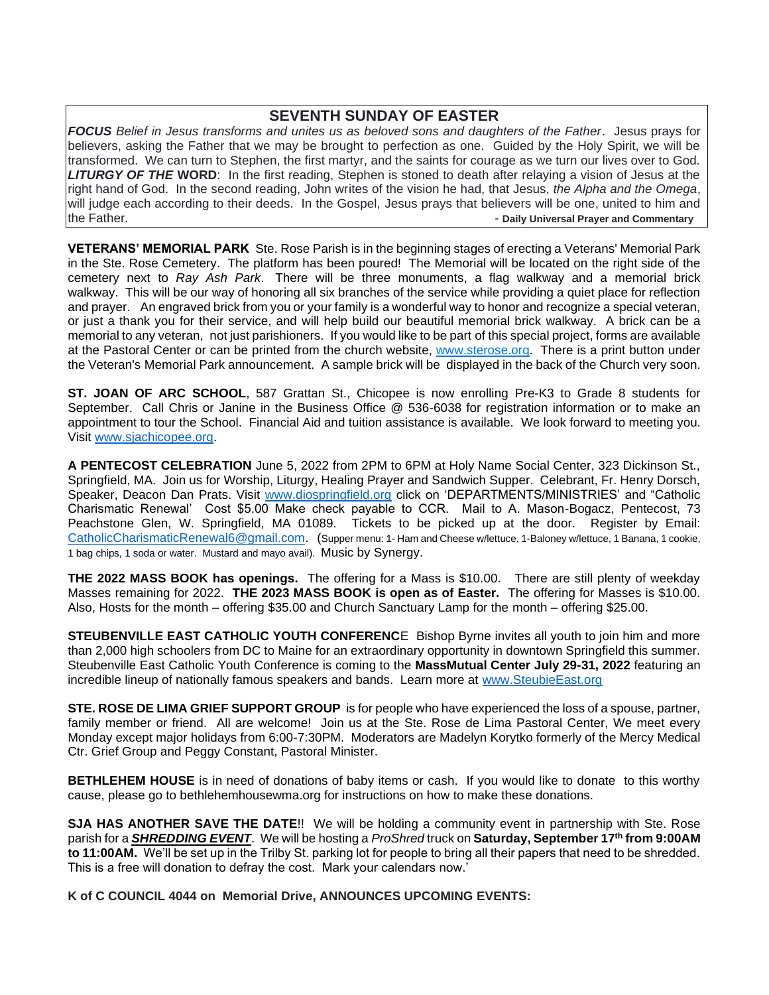#### **SEVENTH SUNDAY OF EASTER**

*FOCUS Belief in Jesus transforms and unites us as beloved sons and daughters of the Father*. Jesus prays for believers, asking the Father that we may be brought to perfection as one. Guided by the Holy Spirit, we will be transformed. We can turn to Stephen, the first martyr, and the saints for courage as we turn our lives over to God. *LITURGY OF THE* **WORD**: In the first reading, Stephen is stoned to death after relaying a vision of Jesus at the right hand of God. In the second reading, John writes of the vision he had, that Jesus, *the Alpha and the Omega*, will judge each according to their deeds. In the Gospel, Jesus prays that believers will be one, united to him and the Father. - **Daily Universal Prayer and Commentary**

**VETERANS' MEMORIAL PARK** Ste. Rose Parish is in the beginning stages of erecting a Veterans' Memorial Park in the Ste. Rose Cemetery. The platform has been poured! The Memorial will be located on the right side of the cemetery next to *Ray Ash Park*. There will be three monuments, a flag walkway and a memorial brick walkway. This will be our way of honoring all six branches of the service while providing a quiet place for reflection and prayer. An engraved brick from you or your family is a wonderful way to honor and recognize a special veteran, or just a thank you for their service, and will help build our beautiful memorial brick walkway. A brick can be a memorial to any veteran, not just parishioners. If you would like to be part of this special project, forms are available at the Pastoral Center or can be printed from the church website, [www.sterose.org.](http://www.sterose.org/) There is a print button under the Veteran's Memorial Park announcement. A sample brick will be displayed in the back of the Church very soon.

**ST. JOAN OF ARC SCHOOL**, 587 Grattan St., Chicopee is now enrolling Pre-K3 to Grade 8 students for September. Call Chris or Janine in the Business Office @ 536-6038 for registration information or to make an appointment to tour the School. Financial Aid and tuition assistance is available. We look forward to meeting you. Visit [www.sjachicopee.org.](http://www.sjachicopee.org/)

**A PENTECOST CELEBRATION** June 5, 2022 from 2PM to 6PM at Holy Name Social Center, 323 Dickinson St., Springfield, MA. Join us for Worship, Liturgy, Healing Prayer and Sandwich Supper. Celebrant, Fr. Henry Dorsch, Speaker, Deacon Dan Prats. Visit [www.diospringfield.org](http://www.diospringfield.org/) click on 'DEPARTMENTS/MINISTRIES' and "Catholic Charismatic Renewal' Cost \$5.00 Make check payable to CCR. Mail to A. Mason-Bogacz, Pentecost, 73 Peachstone Glen, W. Springfield, MA 01089. Tickets to be picked up at the door. Register by Email: [CatholicCharismaticRenewal6@gmail.com.](mailto:CatholicCharismaticRenewal6@gmail.com) (Supper menu: 1- Ham and Cheese w/lettuce, 1-Baloney w/lettuce, 1 Banana, 1 cookie, 1 bag chips, 1 soda or water. Mustard and mayo avail). Music by Synergy.

**THE 2022 MASS BOOK has openings.** The offering for a Mass is \$10.00. There are still plenty of weekday Masses remaining for 2022. **THE 2023 MASS BOOK is open as of Easter.** The offering for Masses is \$10.00. Also, Hosts for the month – offering \$35.00 and Church Sanctuary Lamp for the month – offering \$25.00.

**STEUBENVILLE EAST CATHOLIC YOUTH CONFERENC**E Bishop Byrne invites all youth to join him and more than 2,000 high schoolers from DC to Maine for an extraordinary opportunity in downtown Springfield this summer. Steubenville East Catholic Youth Conference is coming to the **MassMutual Center July 29-31, 2022** featuring an incredible lineup of nationally famous speakers and bands. Learn more at [www.SteubieEast.org](http://www.steubieeast.org/) 

**STE. ROSE DE LIMA GRIEF SUPPORT GROUP** is for people who have experienced the loss of a spouse, partner, family member or friend. All are welcome! Join us at the Ste. Rose de Lima Pastoral Center, We meet every Monday except major holidays from 6:00-7:30PM. Moderators are Madelyn Korytko formerly of the Mercy Medical Ctr. Grief Group and Peggy Constant, Pastoral Minister.

**BETHLEHEM HOUSE** is in need of donations of baby items or cash. If you would like to donate to this worthy cause, please go to bethlehemhousewma.org for instructions on how to make these donations.

**SJA HAS ANOTHER SAVE THE DATE**!! We will be holding a community event in partnership with Ste. Rose parish for a *SHREDDING EVENT*. We will be hosting a *ProShred* truck on **Saturday, September 17th from 9:00AM to 11:00AM.** We'll be set up in the Trilby St. parking lot for people to bring all their papers that need to be shredded. This is a free will donation to defray the cost. Mark your calendars now.'

**K of C COUNCIL 4044 on Memorial Drive, ANNOUNCES UPCOMING EVENTS:**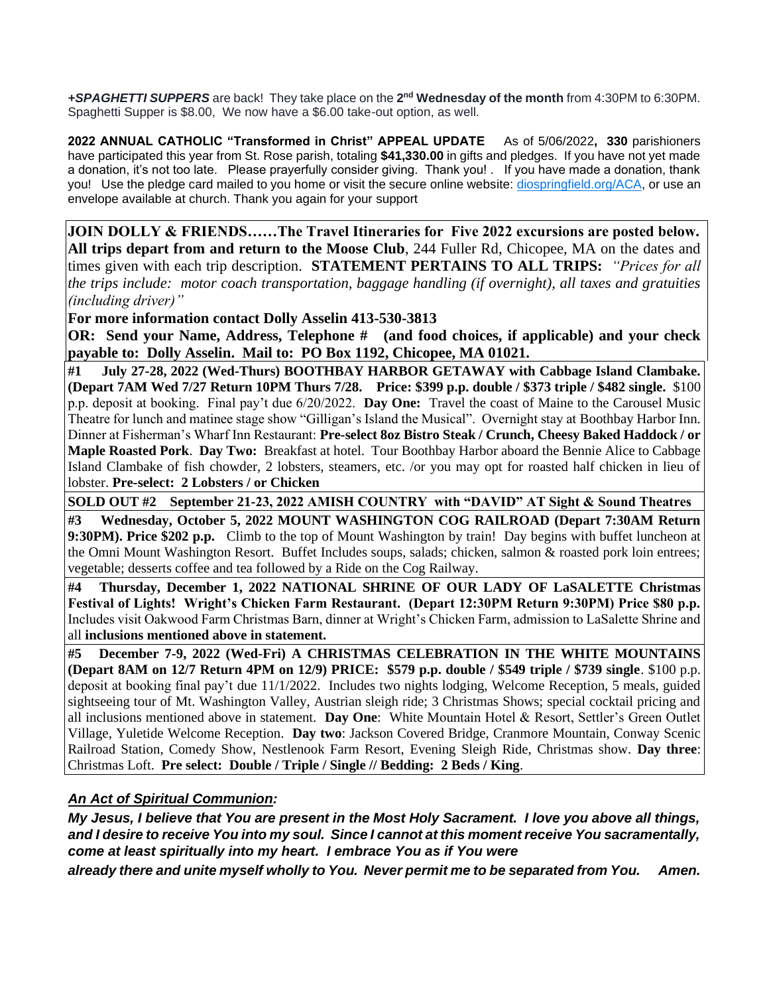+SPAGHETTI SUPPERS are back! They take place on the 2<sup>nd</sup> Wednesday of the month from 4:30PM to 6:30PM. Spaghetti Supper is \$8.00, We now have a \$6.00 take-out option, as well.

**2022 ANNUAL CATHOLIC "Transformed in Christ" APPEAL UPDATE** As of 5/06/2022**, 330** parishioners have participated this year from St. Rose parish, totaling **\$41,330.00** in gifts and pledges. If you have not yet made a donation, it's not too late. Please prayerfully consider giving. Thank you! . If you have made a donation, thank you! Use the pledge card mailed to you home or visit the secure online website: [diospringfield.org/ACA,](http://diospringfield.org/ACA) or use an envelope available at church. Thank you again for your support

**JOIN DOLLY & FRIENDS……The Travel Itineraries for Five 2022 excursions are posted below. All trips depart from and return to the Moose Club**, 244 Fuller Rd, Chicopee, MA on the dates and times given with each trip description. **STATEMENT PERTAINS TO ALL TRIPS:** *"Prices for all the trips include: motor coach transportation, baggage handling (if overnight), all taxes and gratuities (including driver)"* 

**For more information contact Dolly Asselin 413-530-3813**

**OR:** Send your Name, Address, Telephone # (and food choices, if applicable) and your check **payable to: Dolly Asselin. Mail to: PO Box 1192, Chicopee, MA 01021.** 

**#1 July 27-28, 2022 (Wed-Thurs) BOOTHBAY HARBOR GETAWAY with Cabbage Island Clambake. (Depart 7AM Wed 7/27 Return 10PM Thurs 7/28. Price: \$399 p.p. double / \$373 triple / \$482 single.** \$100 p.p. deposit at booking. Final pay't due 6/20/2022. **Day One:** Travel the coast of Maine to the Carousel Music Theatre for lunch and matinee stage show "Gilligan's Island the Musical". Overnight stay at Boothbay Harbor Inn. Dinner at Fisherman's Wharf Inn Restaurant: **Pre-select 8oz Bistro Steak / Crunch, Cheesy Baked Haddock / or Maple Roasted Pork**. **Day Two:** Breakfast at hotel. Tour Boothbay Harbor aboard the Bennie Alice to Cabbage Island Clambake of fish chowder, 2 lobsters, steamers, etc. /or you may opt for roasted half chicken in lieu of lobster. **Pre-select: 2 Lobsters / or Chicken**

**SOLD OUT #2 September 21-23, 2022 AMISH COUNTRY with "DAVID" AT Sight & Sound Theatres** 

**#3 Wednesday, October 5, 2022 MOUNT WASHINGTON COG RAILROAD (Depart 7:30AM Return 9:30PM). Price \$202 p.p.** Climb to the top of Mount Washington by train! Day begins with buffet luncheon at the Omni Mount Washington Resort. Buffet Includes soups, salads; chicken, salmon & roasted pork loin entrees; vegetable; desserts coffee and tea followed by a Ride on the Cog Railway.

**#4 Thursday, December 1, 2022 NATIONAL SHRINE OF OUR LADY OF LaSALETTE Christmas Festival of Lights! Wright's Chicken Farm Restaurant. (Depart 12:30PM Return 9:30PM) Price \$80 p.p.** Includes visit Oakwood Farm Christmas Barn, dinner at Wright's Chicken Farm, admission to LaSalette Shrine and all **inclusions mentioned above in statement.** 

**#5 December 7-9, 2022 (Wed-Fri) A CHRISTMAS CELEBRATION IN THE WHITE MOUNTAINS (Depart 8AM on 12/7 Return 4PM on 12/9) PRICE: \$579 p.p. double / \$549 triple / \$739 single**. \$100 p.p. deposit at booking final pay't due 11/1/2022. Includes two nights lodging, Welcome Reception, 5 meals, guided sightseeing tour of Mt. Washington Valley, Austrian sleigh ride; 3 Christmas Shows; special cocktail pricing and all inclusions mentioned above in statement. **Day One**: White Mountain Hotel & Resort, Settler's Green Outlet Village, Yuletide Welcome Reception. **Day two**: Jackson Covered Bridge, Cranmore Mountain, Conway Scenic Railroad Station, Comedy Show, Nestlenook Farm Resort, Evening Sleigh Ride, Christmas show. **Day three**: Christmas Loft. **Pre select: Double / Triple / Single // Bedding: 2 Beds / King**.

#### *An Act of Spiritual Communion:*

*My Jesus, I believe that You are present in the Most Holy Sacrament. I love you above all things, and I desire to receive You into my soul. Since I cannot at this moment receive You sacramentally, come at least spiritually into my heart. I embrace You as if You were*

*already there and unite myself wholly to You. Never permit me to be separated from You. Amen.*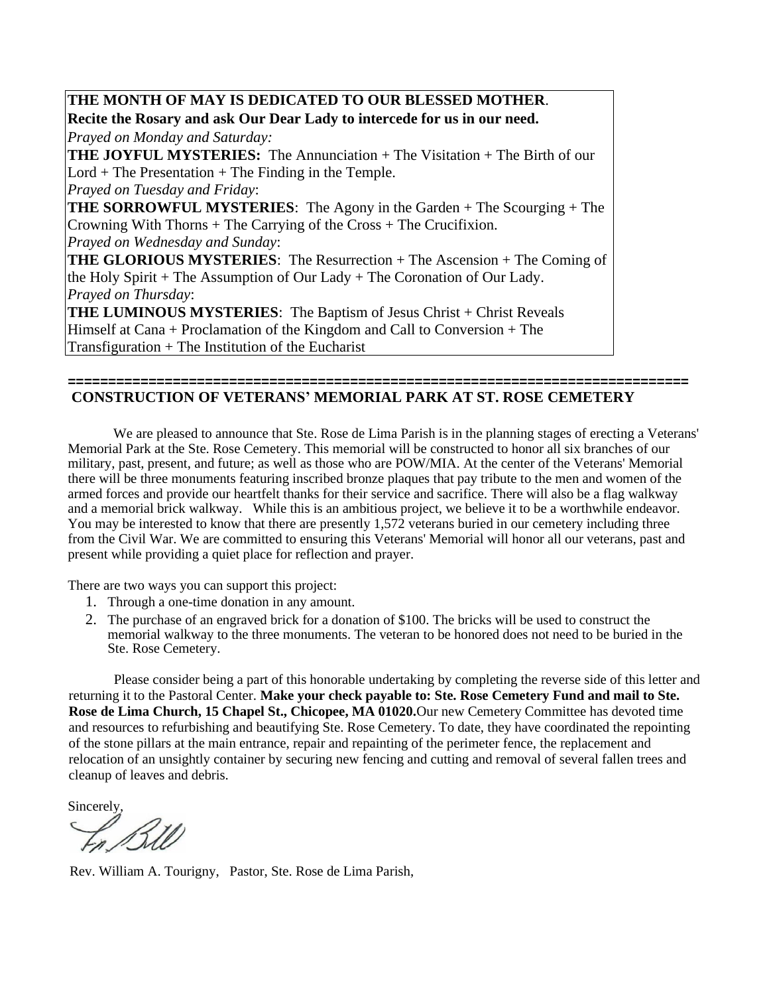**THE MONTH OF MAY IS DEDICATED TO OUR BLESSED MOTHER**. **Recite the Rosary and ask Our Dear Lady to intercede for us in our need.** *Prayed on Monday and Saturday:*  **THE JOYFUL MYSTERIES:** The Annunciation + The Visitation + The Birth of our  $Lord + The Presentation + The Finding in the Temple.$ *Prayed on Tuesday and Friday*: **THE SORROWFUL MYSTERIES**: The Agony in the Garden + The Scourging + The Crowning With Thorns + The Carrying of the Cross + The Crucifixion. *Prayed on Wednesday and Sunday*: **THE GLORIOUS MYSTERIES**: The Resurrection + The Ascension + The Coming of the Holy Spirit + The Assumption of Our Lady + The Coronation of Our Lady. *Prayed on Thursday*: THE LUMINOUS MYSTERIES: The Baptism of Jesus Christ + Christ Reveals Himself at Cana + Proclamation of the Kingdom and Call to Conversion + The Transfiguration + The Institution of the Eucharist

#### **============================================================================= CONSTRUCTION OF VETERANS' MEMORIAL PARK AT ST. ROSE CEMETERY**

We are pleased to announce that Ste. Rose de Lima Parish is in the planning stages of erecting a Veterans' Memorial Park at the Ste. Rose Cemetery. This memorial will be constructed to honor all six branches of our military, past, present, and future; as well as those who are POW/MIA. At the center of the Veterans' Memorial there will be three monuments featuring inscribed bronze plaques that pay tribute to the men and women of the armed forces and provide our heartfelt thanks for their service and sacrifice. There will also be a flag walkway and a memorial brick walkway. While this is an ambitious project, we believe it to be a worthwhile endeavor. You may be interested to know that there are presently 1,572 veterans buried in our cemetery including three from the Civil War. We are committed to ensuring this Veterans' Memorial will honor all our veterans, past and present while providing a quiet place for reflection and prayer.

There are two ways you can support this project:

- 1. Through a one-time donation in any amount.
- 2. The purchase of an engraved brick for a donation of \$100. The bricks will be used to construct the memorial walkway to the three monuments. The veteran to be honored does not need to be buried in the Ste. Rose Cemetery.

Please consider being a part of this honorable undertaking by completing the reverse side of this letter and returning it to the Pastoral Center. **Make your check payable to: Ste. Rose Cemetery Fund and mail to Ste. Rose de Lima Church, 15 Chapel St., Chicopee, MA 01020.**Our new Cemetery Committee has devoted time and resources to refurbishing and beautifying Ste. Rose Cemetery. To date, they have coordinated the repointing of the stone pillars at the main entrance, repair and repainting of the perimeter fence, the replacement and relocation of an unsightly container by securing new fencing and cutting and removal of several fallen trees and cleanup of leaves and debris.

Sincerely,

Rev. William A. Tourigny, Pastor, Ste. Rose de Lima Parish,